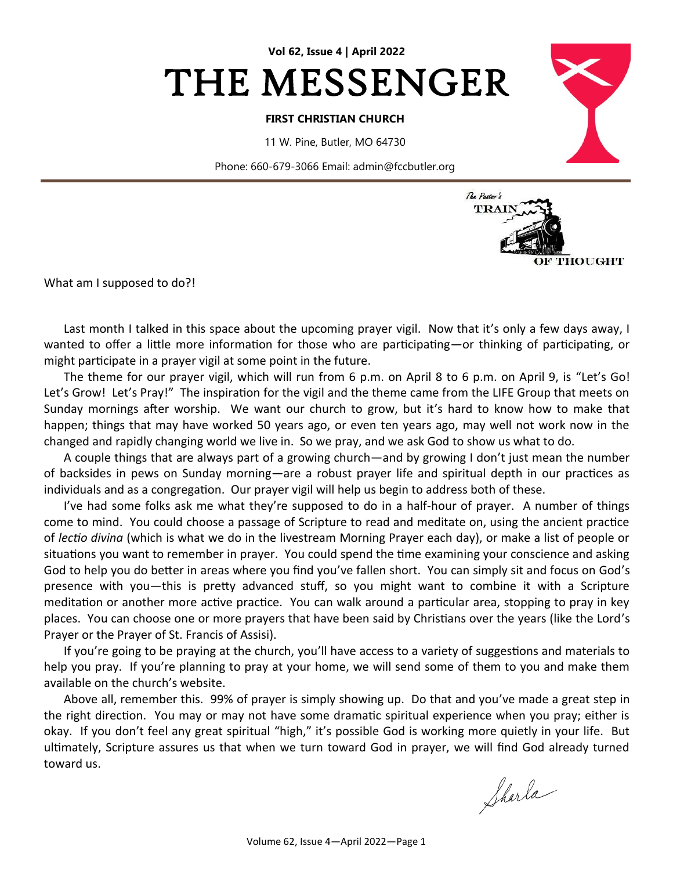

### **FIRST CHRISTIAN CHURCH**

11 W. Pine, Butler, MO 64730

Phone: 660-679-3066 Email: admin@fccbutler.org



What am I supposed to do?!

Last month I talked in this space about the upcoming prayer vigil. Now that it's only a few days away, I wanted to offer a little more information for those who are participating—or thinking of participating, or might participate in a prayer vigil at some point in the future.

The theme for our prayer vigil, which will run from 6 p.m. on April 8 to 6 p.m. on April 9, is "Let's Go! Let's Grow! Let's Pray!" The inspiration for the vigil and the theme came from the LIFE Group that meets on Sunday mornings after worship. We want our church to grow, but it's hard to know how to make that happen; things that may have worked 50 years ago, or even ten years ago, may well not work now in the changed and rapidly changing world we live in. So we pray, and we ask God to show us what to do.

A couple things that are always part of a growing church—and by growing I don't just mean the number of backsides in pews on Sunday morning—are a robust prayer life and spiritual depth in our practices as individuals and as a congregation. Our prayer vigil will help us begin to address both of these.

I've had some folks ask me what they're supposed to do in a half-hour of prayer. A number of things come to mind. You could choose a passage of Scripture to read and meditate on, using the ancient practice of *lectio divina* (which is what we do in the livestream Morning Prayer each day), or make a list of people or situations you want to remember in prayer. You could spend the time examining your conscience and asking God to help you do better in areas where you find you've fallen short. You can simply sit and focus on God's presence with you—this is pretty advanced stuff, so you might want to combine it with a Scripture meditation or another more active practice. You can walk around a particular area, stopping to pray in key places. You can choose one or more prayers that have been said by Christians over the years (like the Lord's Prayer or the Prayer of St. Francis of Assisi).

If you're going to be praying at the church, you'll have access to a variety of suggestions and materials to help you pray. If you're planning to pray at your home, we will send some of them to you and make them available on the church's website.

Above all, remember this. 99% of prayer is simply showing up. Do that and you've made a great step in the right direction. You may or may not have some dramatic spiritual experience when you pray; either is okay. If you don't feel any great spiritual "high," it's possible God is working more quietly in your life. But ultimately, Scripture assures us that when we turn toward God in prayer, we will find God already turned toward us.

Sharla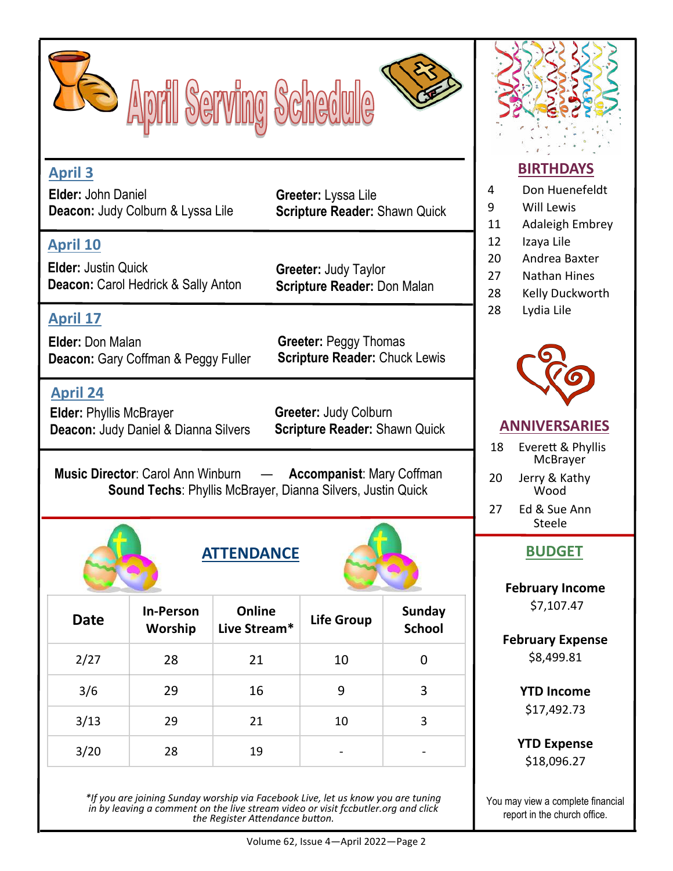



**Greeter:** Lyssa Lile

**Greeter:** Judy Taylor

**Scripture Reader:** Shawn Quick

# **April 3**

**Elder:** John Daniel **Deacon:** Judy Colburn & Lyssa Lile

# **April 10**

**Elder:** Justin Quick **Deacon: Carol Hedrick & Sally Anton** 

**April 17 Elder:** Don Malan **Deacon:** Gary Coffman & Peggy Fuller

**April 24**

**Elder:** Phyllis McBrayer **Deacon:** Judy Daniel & Dianna Silvers **Greeter:** Judy Colburn **Scripture Reader:** Shawn Quick

**Scripture Reader:** Chuck Lewis

**Scripture Reader:** Don Malan

**Greeter:** Peggy Thomas

**Music Director**: Carol Ann Winburn — **Accompanist**: Mary Coffman **Sound Techs**: Phyllis McBrayer, Dianna Silvers, Justin Quick





| <b>Date</b> | <b>In-Person</b><br>Worship | Online<br>Live Stream* | <b>Life Group</b> | <b>Sunday</b><br><b>School</b> |
|-------------|-----------------------------|------------------------|-------------------|--------------------------------|
| 2/27        | 28                          | 21                     | 10                | O                              |
| 3/6         | 29                          | 16                     | 9                 | 3                              |
| 3/13        | 29                          | 21                     | 10                | 3                              |
| 3/20        | 28                          | 19                     | -                 |                                |

*\*If you are joining Sunday worship via Facebook Live, let us know you are tuning in by leaving a comment on the live stream video or visit fccbutler.org and click the Register Attendance button.* 



# **BIRTHDAYS**

- 4 Don Huenefeldt
- 9 Will Lewis
- 11 Adaleigh Embrey
- 12 Izaya Lile
- 20 Andrea Baxter
- 27 Nathan Hines
- 28 Kelly Duckworth
- 28 Lydia Lile



# **ANNIVERSARIES**

- 18 Everett & Phyllis McBrayer<sup>1</sup>
- 20 Jerry & Kathy Wood

27 Ed & Sue Ann Steele

**February Income** \$7,107.47

**February Expense** \$8,499.81

> **YTD Income** \$17,492.73

**YTD Expense** \$18,096.27

You may view a complete financial report in the church office.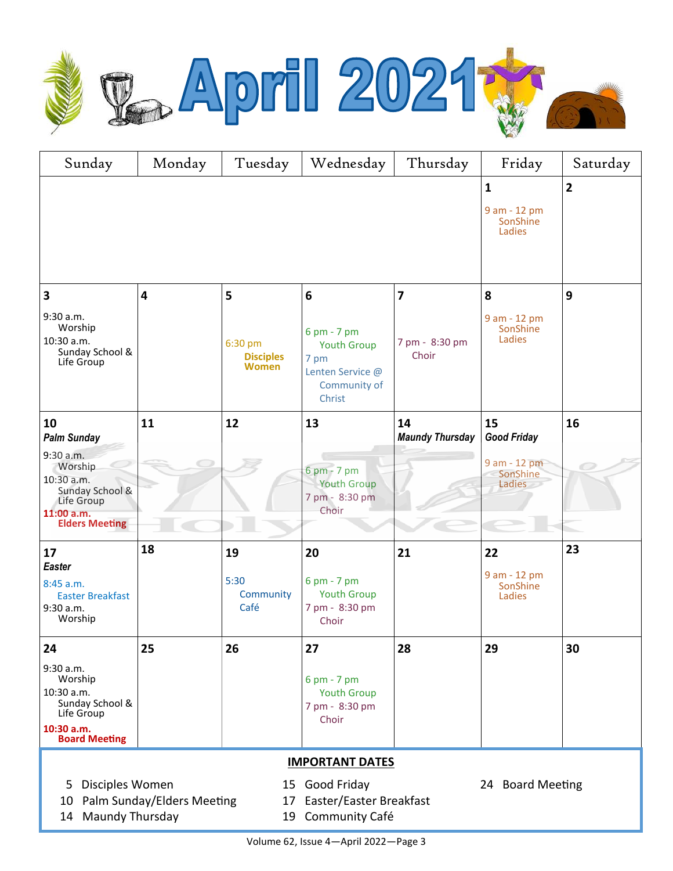

| Sunday                                                                                                                                                                        | Monday | Tuesday                              | Wednesday                                                                               | Thursday                | Friday                                                   | Saturday                |  |  |
|-------------------------------------------------------------------------------------------------------------------------------------------------------------------------------|--------|--------------------------------------|-----------------------------------------------------------------------------------------|-------------------------|----------------------------------------------------------|-------------------------|--|--|
|                                                                                                                                                                               |        |                                      |                                                                                         |                         | $\mathbf{1}$<br>9 am - 12 pm<br>SonShine<br>Ladies       | $\overline{\mathbf{2}}$ |  |  |
| $\overline{\mathbf{3}}$                                                                                                                                                       | 4      | 5                                    | $6\phantom{1}$                                                                          | $\overline{7}$          | 8                                                        | 9                       |  |  |
| 9:30 a.m.<br>Worship<br>10:30 a.m.<br>Sunday School &<br>Life Group                                                                                                           |        | 6:30 pm<br><b>Disciples</b><br>Women | 6 pm - 7 pm<br><b>Youth Group</b><br>7 pm<br>Lenten Service @<br>Community of<br>Christ | 7 pm - 8:30 pm<br>Choir | 9 am - 12 pm<br>SonShine<br>Ladies                       |                         |  |  |
| 10                                                                                                                                                                            | 11     | 12                                   | 13                                                                                      | 14                      | 15                                                       | 16                      |  |  |
| <b>Palm Sunday</b><br>9:30 a.m.<br>Worship<br>10:30 a.m.<br>Sunday School &<br>Life Group<br>11:00 a.m.<br><b>Elders Meeting</b>                                              |        |                                      | $6 \text{ pm} - 7 \text{ pm}$<br><b>Youth Group</b><br>7 pm - 8:30 pm<br>Choir          | <b>Maundy Thursday</b>  | <b>Good Friday</b><br>9 am - 12 pm<br>SonShine<br>Ladies |                         |  |  |
| 17                                                                                                                                                                            | 18     | 19                                   | 20                                                                                      | 21                      | 22                                                       | 23                      |  |  |
| <b>Easter</b><br>8:45 a.m.<br><b>Easter Breakfast</b><br>9:30 a.m.<br>Worship                                                                                                 |        | 5:30<br>Community<br>Café            | 6 pm - 7 pm<br><b>Youth Group</b><br>7 pm - 8:30 pm<br>Choir                            |                         | 9 am - 12 pm<br>SonShine<br>Ladies                       |                         |  |  |
| 24                                                                                                                                                                            | 25     | 26                                   | 27                                                                                      | 28                      | 29                                                       | 30                      |  |  |
| 9:30 a.m.<br>Worship<br>10:30 a.m.<br>Sunday School &<br>Life Group<br>10:30 a.m.<br><b>Board Meeting</b>                                                                     |        |                                      | 6 pm - 7 pm<br><b>Youth Group</b><br>7 pm - 8:30 pm<br>Choir                            |                         |                                                          |                         |  |  |
| <b>IMPORTANT DATES</b>                                                                                                                                                        |        |                                      |                                                                                         |                         |                                                          |                         |  |  |
| Disciples Women<br>Good Friday<br>24 Board Meeting<br>5<br>15<br>Palm Sunday/Elders Meeting<br>Easter/Easter Breakfast<br>10<br>17<br>14 Maundy Thursday<br>19 Community Café |        |                                      |                                                                                         |                         |                                                          |                         |  |  |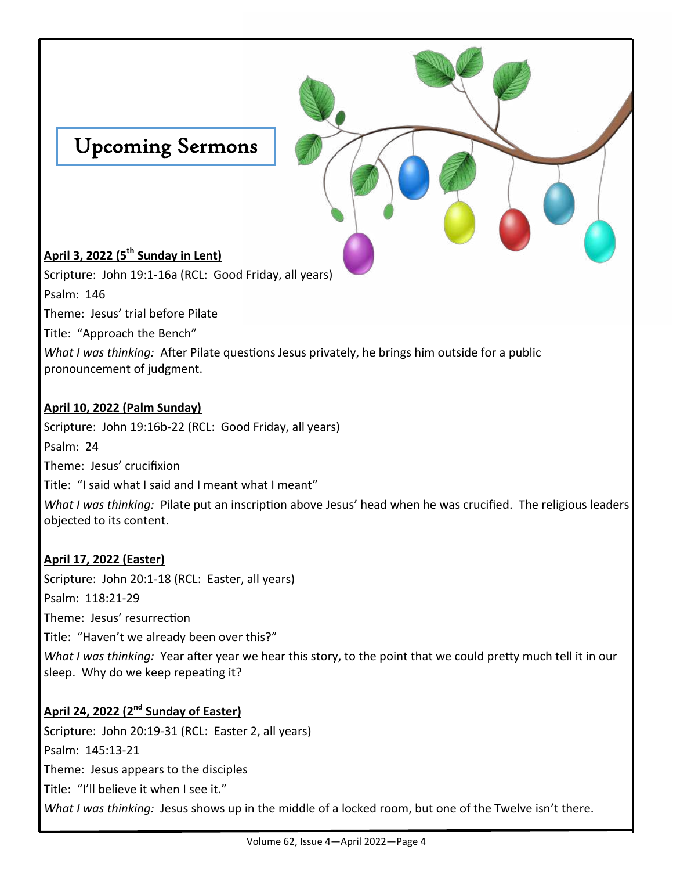

pronouncement of judgment.

### **April 10, 2022 (Palm Sunday)**

Scripture: John 19:16b-22 (RCL: Good Friday, all years) Psalm: 24 Theme: Jesus' crucifixion Title: "I said what I said and I meant what I meant" *What I was thinking:* Pilate put an inscription above Jesus' head when he was crucified. The religious leaders

## **April 17, 2022 (Easter)**

objected to its content.

Scripture: John 20:1-18 (RCL: Easter, all years) Psalm: 118:21-29 Theme: Jesus' resurrection Title: "Haven't we already been over this?" *What I was thinking:* Year after year we hear this story, to the point that we could pretty much tell it in our sleep. Why do we keep repeating it?

# **April 24, 2022 (2nd Sunday of Easter)**

Scripture: John 20:19-31 (RCL: Easter 2, all years) Psalm: 145:13-21 Theme: Jesus appears to the disciples Title: "I'll believe it when I see it." *What I was thinking:* Jesus shows up in the middle of a locked room, but one of the Twelve isn't there.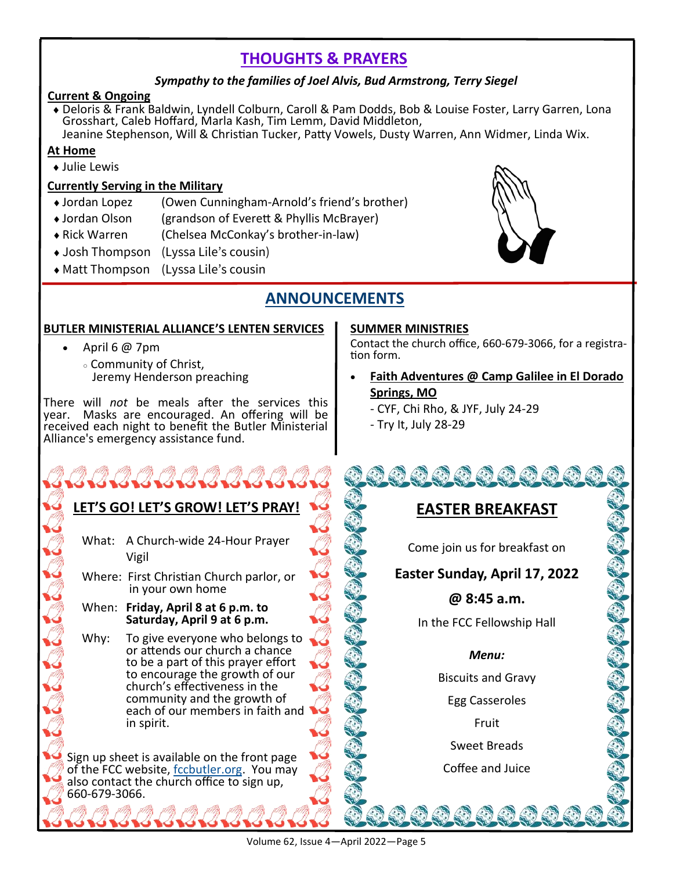# **THOUGHTS & PRAYERS**

## *Sympathy to the families of Joel Alvis, Bud Armstrong, Terry Siegel*

### **Current & Ongoing**

 Deloris & Frank Baldwin, Lyndell Colburn, Caroll & Pam Dodds, Bob & Louise Foster, Larry Garren, Lona Grosshart, Caleb Hoffard, Marla Kash, Tim Lemm, David Middleton, Jeanine Stephenson, Will & Christian Tucker, Patty Vowels, Dusty Warren, Ann Widmer, Linda Wix.

## **At Home**

Julie Lewis

## **Currently Serving in the Military**

- Jordan Lopez (Owen Cunningham-Arnold's friend's brother)
- Jordan Olson (grandson of Everett & Phyllis McBrayer)
- Rick Warren (Chelsea McConkay's brother-in-law)
- ◆ Josh Thompson (Lyssa Lile's cousin)
- Matt Thompson (Lyssa Lile's cousin

# **ANNOUNCEMENTS**

## **BUTLER MINISTERIAL ALLIANCE'S LENTEN SERVICES**

- April 6  $@$  7pm
	- Community of Christ, Jeremy Henderson preaching

There will *not* be meals after the services this year. Masks are encouraged. An offering will be received each night to benefit the Butler Ministerial Alliance's emergency assistance fund.

## **LET'S GO! LET'S GROW! LET'S PRAY!**

What: A Church-wide 24-Hour Prayer Vigil

Where: First Christian Church parlor, or in your own home

When: **Friday, April 8 at 6 p.m. to Saturday, April 9 at 6 p.m.**

Why: To give everyone who belongs to or attends our church a chance to be a part of this prayer effort to encourage the growth of our church's effectiveness in the community and the growth of each of our members in faith and in spirit.

Sign up sheet is available on the front page of the FCC website, [fccbutler.org.](http://www.fccbutler.org) You may also contact the church office to sign up, 660-679-3066.

## **SUMMER MINISTRIES**

Contact the church office, 660-679-3066, for a registration form.

- **Faith Adventures @ Camp Galilee in El Dorado Springs, MO**
	- CYF, Chi Rho, & JYF, July 24-29
	- Try It, July 28-29

# **EASTER BREAKFAST**

经每年考试经费费

Come join us for breakfast on

# **Easter Sunday, April 17, 2022**

## **@ 8:45 a.m.**

In the FCC Fellowship Hall

### *Menu:*

Biscuits and Gravy

Egg Casseroles

Fruit

Sweet Breads

Coffee and Juice

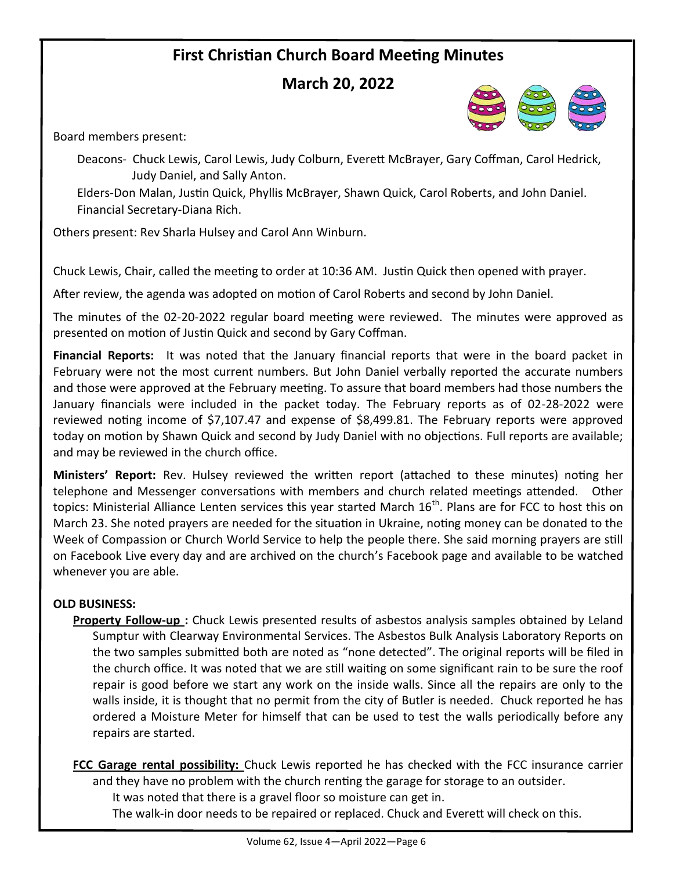# **First Christian Church Board Meeting Minutes**

# **March 20, 2022**

Board members present:

Deacons- Chuck Lewis, Carol Lewis, Judy Colburn, Everett McBrayer, Gary Coffman, Carol Hedrick, Judy Daniel, and Sally Anton.

Elders-Don Malan, Justin Quick, Phyllis McBrayer, Shawn Quick, Carol Roberts, and John Daniel. Financial Secretary-Diana Rich.

Others present: Rev Sharla Hulsey and Carol Ann Winburn.

Chuck Lewis, Chair, called the meeting to order at 10:36 AM. Justin Quick then opened with prayer.

After review, the agenda was adopted on motion of Carol Roberts and second by John Daniel.

The minutes of the 02-20-2022 regular board meeting were reviewed. The minutes were approved as presented on motion of Justin Quick and second by Gary Coffman.

**Financial Reports:** It was noted that the January financial reports that were in the board packet in February were not the most current numbers. But John Daniel verbally reported the accurate numbers and those were approved at the February meeting. To assure that board members had those numbers the January financials were included in the packet today. The February reports as of 02-28-2022 were reviewed noting income of \$7,107.47 and expense of \$8,499.81. The February reports were approved today on motion by Shawn Quick and second by Judy Daniel with no objections. Full reports are available; and may be reviewed in the church office.

**Ministers' Report:** Rev. Hulsey reviewed the written report (attached to these minutes) noting her telephone and Messenger conversations with members and church related meetings attended. Other topics: Ministerial Alliance Lenten services this year started March 16<sup>th</sup>. Plans are for FCC to host this on March 23. She noted prayers are needed for the situation in Ukraine, noting money can be donated to the Week of Compassion or Church World Service to help the people there. She said morning prayers are still on Facebook Live every day and are archived on the church's Facebook page and available to be watched whenever you are able.

### **OLD BUSINESS:**

**Property Follow-up :** Chuck Lewis presented results of asbestos analysis samples obtained by Leland Sumptur with Clearway Environmental Services. The Asbestos Bulk Analysis Laboratory Reports on the two samples submitted both are noted as "none detected". The original reports will be filed in the church office. It was noted that we are still waiting on some significant rain to be sure the roof repair is good before we start any work on the inside walls. Since all the repairs are only to the walls inside, it is thought that no permit from the city of Butler is needed. Chuck reported he has ordered a Moisture Meter for himself that can be used to test the walls periodically before any repairs are started.

**FCC Garage rental possibility:** Chuck Lewis reported he has checked with the FCC insurance carrier and they have no problem with the church renting the garage for storage to an outsider.

It was noted that there is a gravel floor so moisture can get in.

The walk-in door needs to be repaired or replaced. Chuck and Everett will check on this.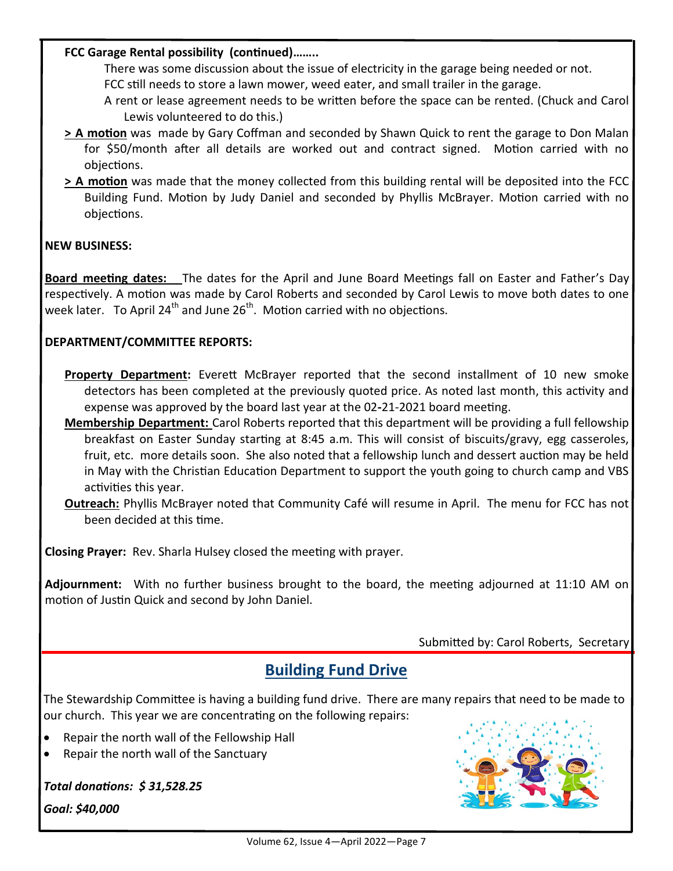### **FCC Garage Rental possibility (continued)……..**

There was some discussion about the issue of electricity in the garage being needed or not.

FCC still needs to store a lawn mower, weed eater, and small trailer in the garage.

A rent or lease agreement needs to be written before the space can be rented. (Chuck and Carol Lewis volunteered to do this.)

- **> A motion** was made by Gary Coffman and seconded by Shawn Quick to rent the garage to Don Malan for \$50/month after all details are worked out and contract signed. Motion carried with no objections.
- **> A motion** was made that the money collected from this building rental will be deposited into the FCC Building Fund. Motion by Judy Daniel and seconded by Phyllis McBrayer. Motion carried with no objections.

### **NEW BUSINESS:**

**Board meeting dates:** The dates for the April and June Board Meetings fall on Easter and Father's Day respectively. A motion was made by Carol Roberts and seconded by Carol Lewis to move both dates to one week later. To April 24<sup>th</sup> and June  $26<sup>th</sup>$ . Motion carried with no objections.

### **DEPARTMENT/COMMITTEE REPORTS:**

- Property Department: Everett McBrayer reported that the second installment of 10 new smoke detectors has been completed at the previously quoted price. As noted last month, this activity and expense was approved by the board last year at the 02**-**21-2021 board meeting.
- **Membership Department:** Carol Roberts reported that this department will be providing a full fellowship breakfast on Easter Sunday starting at 8:45 a.m. This will consist of biscuits/gravy, egg casseroles, fruit, etc. more details soon. She also noted that a fellowship lunch and dessert auction may be held in May with the Christian Education Department to support the youth going to church camp and VBS activities this year.
- **Outreach:** Phyllis McBrayer noted that Community Café will resume in April. The menu for FCC has not been decided at this time.

**Closing Prayer:** Rev. Sharla Hulsey closed the meeting with prayer.

**Adjournment:** With no further business brought to the board, the meeting adjourned at 11:10 AM on motion of Justin Quick and second by John Daniel.

Submitted by: Carol Roberts, Secretary

# **Building Fund Drive**

The Stewardship Committee is having a building fund drive. There are many repairs that need to be made to our church. This year we are concentrating on the following repairs:

- Repair the north wall of the Fellowship Hall
- Repair the north wall of the Sanctuary

*Total donations: \$ 31,528.25*

*Goal: \$40,000*